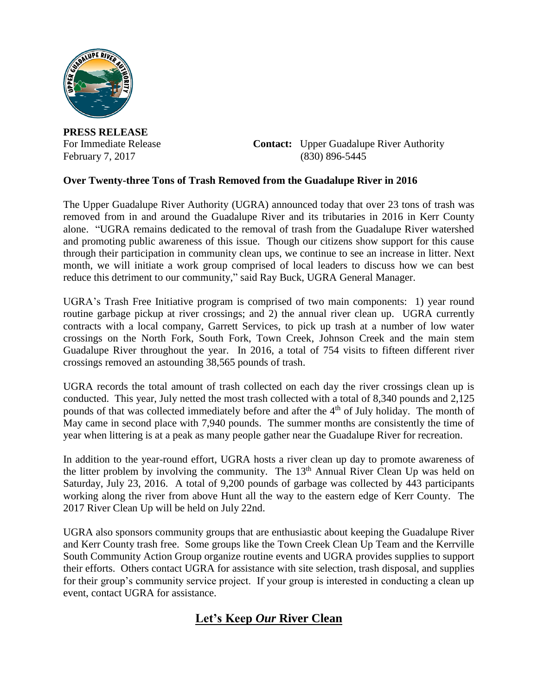

**PRESS RELEASE**

For Immediate Release **Contact:** Upper Guadalupe River Authority February 7, 2017 (830) 896-5445

## **Over Twenty-three Tons of Trash Removed from the Guadalupe River in 2016**

The Upper Guadalupe River Authority (UGRA) announced today that over 23 tons of trash was removed from in and around the Guadalupe River and its tributaries in 2016 in Kerr County alone. "UGRA remains dedicated to the removal of trash from the Guadalupe River watershed and promoting public awareness of this issue. Though our citizens show support for this cause through their participation in community clean ups, we continue to see an increase in litter. Next month, we will initiate a work group comprised of local leaders to discuss how we can best reduce this detriment to our community," said Ray Buck, UGRA General Manager.

UGRA's Trash Free Initiative program is comprised of two main components: 1) year round routine garbage pickup at river crossings; and 2) the annual river clean up. UGRA currently contracts with a local company, Garrett Services, to pick up trash at a number of low water crossings on the North Fork, South Fork, Town Creek, Johnson Creek and the main stem Guadalupe River throughout the year. In 2016, a total of 754 visits to fifteen different river crossings removed an astounding 38,565 pounds of trash.

UGRA records the total amount of trash collected on each day the river crossings clean up is conducted. This year, July netted the most trash collected with a total of 8,340 pounds and 2,125 pounds of that was collected immediately before and after the 4<sup>th</sup> of July holiday. The month of May came in second place with 7,940 pounds. The summer months are consistently the time of year when littering is at a peak as many people gather near the Guadalupe River for recreation.

In addition to the year-round effort, UGRA hosts a river clean up day to promote awareness of the litter problem by involving the community. The 13<sup>th</sup> Annual River Clean Up was held on Saturday, July 23, 2016. A total of 9,200 pounds of garbage was collected by 443 participants working along the river from above Hunt all the way to the eastern edge of Kerr County. The 2017 River Clean Up will be held on July 22nd.

UGRA also sponsors community groups that are enthusiastic about keeping the Guadalupe River and Kerr County trash free. Some groups like the Town Creek Clean Up Team and the Kerrville South Community Action Group organize routine events and UGRA provides supplies to support their efforts. Others contact UGRA for assistance with site selection, trash disposal, and supplies for their group's community service project. If your group is interested in conducting a clean up event, contact UGRA for assistance.

## **Let's Keep** *Our* **River Clean**